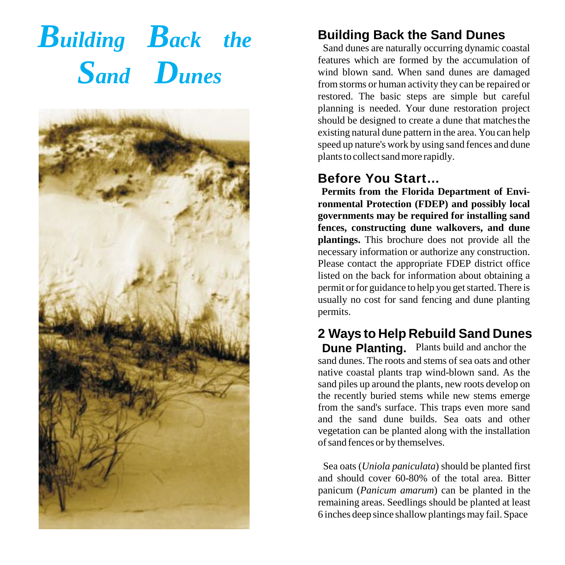# *Building Back the Sand Dunes*



#### **Building Back the Sand Dunes**

 Sand dunes are naturally occurring dynamic coastal from storms or human activity they can be repaired or restored. The basic steps are simple but careful planning is needed. Your dune restoration project existing natural dune pattern in the area. You can help speed up nature's work by using sand fences and dune plants to collect sand more rapidly. features which are formed by the accumulation of wind blown sand. When sand dunes are damaged should be designed to create a dune that matchesthe

#### **Before You Start…**

 **fences, constructing dune walkovers, and dune plantings.** This brochure does not provide all the necessary information or authorize any construction. permit or for guidance to help you get started. There is **Permits from the Florida Department of Environmental Protection (FDEP) and possibly local governments may be required for installing sand** Please contact the appropriate FDEP district office listed on the back for information about obtaining a usually no cost for sand fencing and dune planting permits.

### **2 Ways to Help Rebuild Sand Dunes**

 sand dunes. The roots and stems of sea oats and other sand piles up around the plants, new roots develop on from the sand's surface. This traps even more sand of sand fences or by themselves. **Dune Planting.** Plants build and anchor the native coastal plants trap wind-blown sand. As the the recently buried stems while new stems emerge and the sand dune builds. Sea oats and other vegetation can be planted along with the installation

 Sea oats (*Uniola paniculata*) should be planted first and should cover 60-80% of the total area. Bitter remaining areas. Seedlings should be planted at least 6 inches deep since shallow plantings may fail. Space panicum (*Panicum amarum*) can be planted in the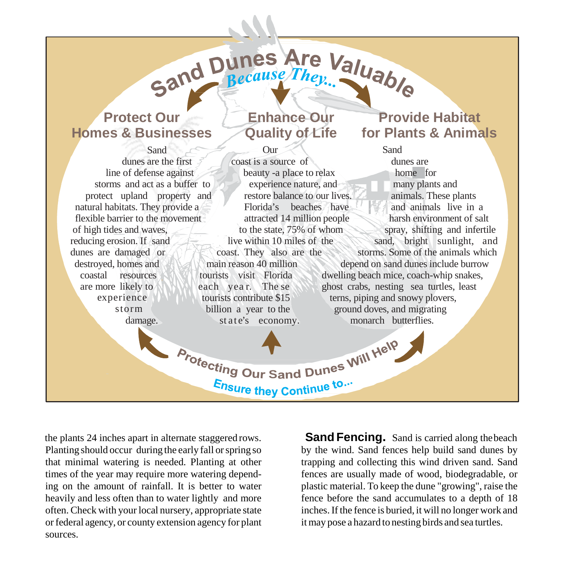

the plants 24 inches apart in alternate staggered rows. Planting should occur during the early fall or spring so heavily and less often than to water lightly and more fence before the sand accumulates to a depth of 18 often. Check with your local nursery, appropriate state or federal agency, or county extension agency for plant it may pose a hazard to nesting birds and sea turtles. Planting should occur during the early fall or spring so by the wind. Sand fences help build sand dunes by ing on the amount of rainfall. It is better to water plastic material. To keep the dune "growing", raise the often. Check with your local nursery, appropriate state inches. If the fence is buried, it will no longer work and that minimal watering is needed. Planting at other times of the year may require more watering depend- fences are usually made of wood, biodegradable, or sources.

fence before the sand accumulates to a depth of 18 it may pose a hazard to nesting birds and sea turtles. trapping and collecting this wind driven sand. Sand **Sand Fencing.** Sand is carried along the beach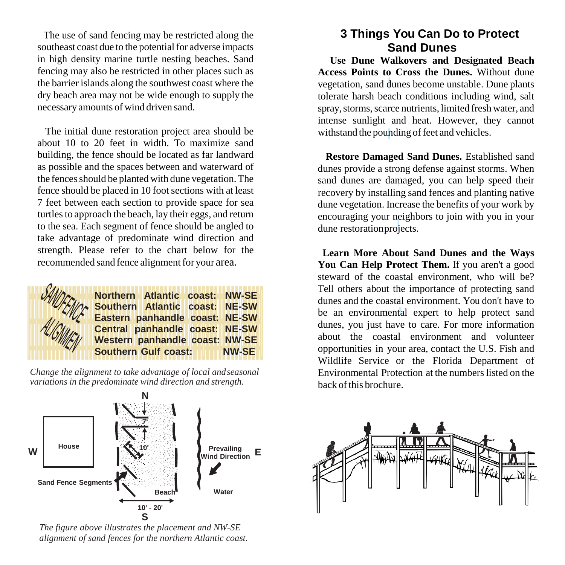southeast coast due to the potential for adverse impacts **Sand Dunes**  the barrier islands along the southwest coast where the necessary amounts of wind driven sand. in high density marine turtle nesting beaches. Sand fencing may also be restricted in other places such as dry beach area may not be wide enough to supply the

 as possible and the spaces between and waterward of the fences should be planted with dune vegetation. The fence should be placed in 10 foot sections with at least turtles to approach the beach, lay their eggs, and return to the sea. Each segment of fence should be angled to strength. Please refer to the chart below for the recommended sand fence alignment for your area. The initial dune restoration project area should be about 10 to 20 feet in width. To maximize sand building, the fence should be located as far landward 7 feet between each section to provide space for sea take advantage of predominate wind direction and



 *variations in the predominate wind direction and strength. Change the alignment to take advantage of local andseasonal*



*The figure above illustrates the placement and NW-SE alignment of sand fences for the northern Atlantic coast.*

## The use of sand fencing may be restricted along the **3 Things You Can Do to Protect**

 **Use Dune Walkovers and Designated Beach** spray, storms, scarce nutrients, limited fresh water, and withstand the pounding of feet and vehicles. **1 Constrained School Constrained School Constrained School Constrained School Section, sand dunes become unstable. Dune plants lerate harsh beach conditions including wind, salteray, storms, scarce nutrients, limited fr Access Points to Cross the Dunes.** Without dune vegetation, sand dunes become unstable. Dune plants tolerate harsh beach conditions including wind, salt intense sunlight and heat. However, they cannot

 recovery by installing sand fences and planting native dune vegetation. Increase the benefits of your work by encouraging your neighbors to join with you in your dune restoration projects. dunes provide a strong detense<br>sand dunes are damaged, you<br>recovery by installing sand fen<br>dune vegetation. Increase the b<br>encouraging your neighbors to<br>dune restoration projects. dunes provide a strong defense against storms. When sand dunes are damaged, you can help speed their

 **You Can Help Protect Them.** If you aren't a good Tell others about the importance of protecting sand dunes and the coastal environment. You don't have to about the coastal environment and volunteer opportunities in your area, contact the U.S. Fish and Wildlife Service or the Florida Department of Environmental Protection at the numbers listed on the back of this brochure. dunes, you just have to care. For more information **3 Learn More About Sand Dunes and the Ways** steward of the coastal environment, who will be? be an environmental expert to help protect sand